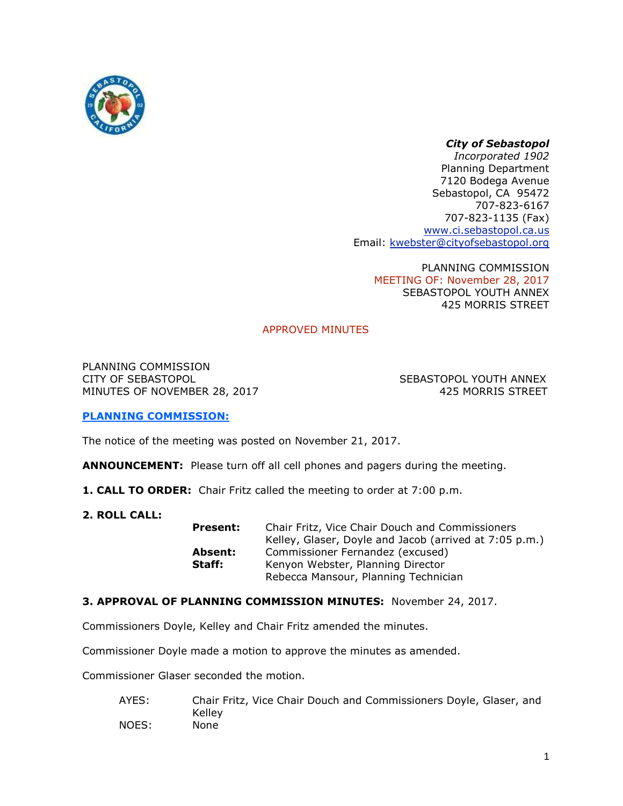

# *City of Sebastopol*

*Incorporated 1902* Planning Department 7120 Bodega Avenue Sebastopol, CA 95472 707-823-6167 707-823-1135 (Fax) [www.ci.sebastopol.ca.us](http://www.ci.sebastopol.ca.us/) Email: [kwebster@cityofsebastopol.org](mailto:kplan@sonic.net)

PLANNING COMMISSION MEETING OF: November 28, 2017 SEBASTOPOL YOUTH ANNEX 425 MORRIS STREET

# APPROVED MINUTES

PLANNING COMMISSION CITY OF SEBASTOPOL SEBASTOPOL YOUTH ANNEX MINUTES OF NOVEMBER 28, 2017 120 120 120 120 121 1225 MORRIS STREET

## **PLANNING COMMISSION:**

The notice of the meeting was posted on November 21, 2017.

**ANNOUNCEMENT:** Please turn off all cell phones and pagers during the meeting.

- **1. CALL TO ORDER:** Chair Fritz called the meeting to order at 7:00 p.m.
- **2. ROLL CALL:**

**Present:** Chair Fritz, Vice Chair Douch and Commissioners Kelley, Glaser, Doyle and Jacob (arrived at 7:05 p.m.) **Absent:** Commissioner Fernandez (excused) **Staff:** Kenyon Webster, Planning Director Rebecca Mansour, Planning Technician

## **3. APPROVAL OF PLANNING COMMISSION MINUTES:** November 24, 2017.

Commissioners Doyle, Kelley and Chair Fritz amended the minutes.

Commissioner Doyle made a motion to approve the minutes as amended.

Commissioner Glaser seconded the motion.

AYES: Chair Fritz, Vice Chair Douch and Commissioners Doyle, Glaser, and Kelley NOES: None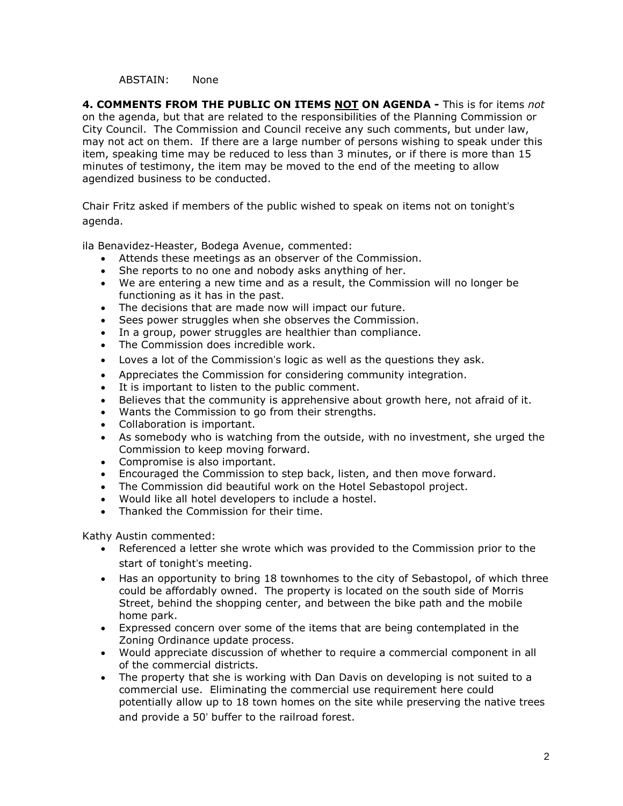#### ABSTAIN: None

**4. COMMENTS FROM THE PUBLIC ON ITEMS NOT ON AGENDA -** This is for items *not* on the agenda, but that are related to the responsibilities of the Planning Commission or City Council. The Commission and Council receive any such comments, but under law, may not act on them. If there are a large number of persons wishing to speak under this item, speaking time may be reduced to less than 3 minutes, or if there is more than 15 minutes of testimony, the item may be moved to the end of the meeting to allow agendized business to be conducted.

Chair Fritz asked if members of the public wished to speak on items not on tonight's agenda.

ila Benavidez-Heaster, Bodega Avenue, commented:

- Attends these meetings as an observer of the Commission.
- She reports to no one and nobody asks anything of her.
- We are entering a new time and as a result, the Commission will no longer be functioning as it has in the past.
- The decisions that are made now will impact our future.
- Sees power struggles when she observes the Commission.
- In a group, power struggles are healthier than compliance.
- The Commission does incredible work.
- Loves a lot of the Commission's logic as well as the questions they ask.
- Appreciates the Commission for considering community integration.
- It is important to listen to the public comment.
- Believes that the community is apprehensive about growth here, not afraid of it.
- Wants the Commission to go from their strengths.
- Collaboration is important.
- As somebody who is watching from the outside, with no investment, she urged the Commission to keep moving forward.
- Compromise is also important.
- Encouraged the Commission to step back, listen, and then move forward.
- The Commission did beautiful work on the Hotel Sebastopol project.
- Would like all hotel developers to include a hostel.
- Thanked the Commission for their time.

Kathy Austin commented:

- Referenced a letter she wrote which was provided to the Commission prior to the start of tonight's meeting.
- Has an opportunity to bring 18 townhomes to the city of Sebastopol, of which three could be affordably owned. The property is located on the south side of Morris Street, behind the shopping center, and between the bike path and the mobile home park.
- Expressed concern over some of the items that are being contemplated in the Zoning Ordinance update process.
- Would appreciate discussion of whether to require a commercial component in all of the commercial districts.
- The property that she is working with Dan Davis on developing is not suited to a commercial use. Eliminating the commercial use requirement here could potentially allow up to 18 town homes on the site while preserving the native trees and provide a 50' buffer to the railroad forest.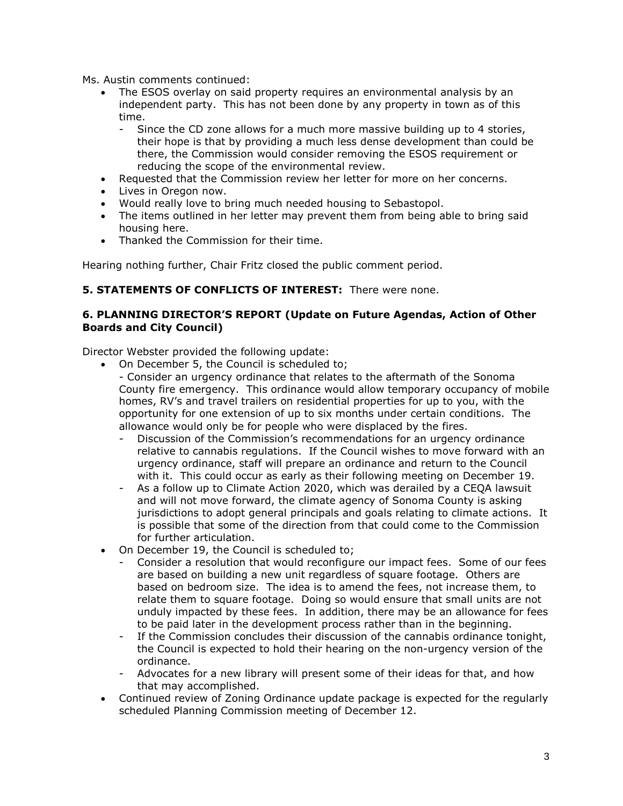Ms. Austin comments continued:

- The ESOS overlay on said property requires an environmental analysis by an independent party. This has not been done by any property in town as of this time.
	- Since the CD zone allows for a much more massive building up to 4 stories, their hope is that by providing a much less dense development than could be there, the Commission would consider removing the ESOS requirement or reducing the scope of the environmental review.
- Requested that the Commission review her letter for more on her concerns.
- Lives in Oregon now.
- Would really love to bring much needed housing to Sebastopol.
- The items outlined in her letter may prevent them from being able to bring said housing here.
- Thanked the Commission for their time.

Hearing nothing further, Chair Fritz closed the public comment period.

### **5. STATEMENTS OF CONFLICTS OF INTEREST:** There were none.

## **6. PLANNING DIRECTOR'S REPORT (Update on Future Agendas, Action of Other Boards and City Council)**

Director Webster provided the following update:

- On December 5, the Council is scheduled to; - Consider an urgency ordinance that relates to the aftermath of the Sonoma County fire emergency. This ordinance would allow temporary occupancy of mobile homes, RV's and travel trailers on residential properties for up to you, with the opportunity for one extension of up to six months under certain conditions. The
	- allowance would only be for people who were displaced by the fires. - Discussion of the Commission's recommendations for an urgency ordinance relative to cannabis regulations. If the Council wishes to move forward with an urgency ordinance, staff will prepare an ordinance and return to the Council with it. This could occur as early as their following meeting on December 19.
	- As a follow up to Climate Action 2020, which was derailed by a CEOA lawsuit and will not move forward, the climate agency of Sonoma County is asking jurisdictions to adopt general principals and goals relating to climate actions. It is possible that some of the direction from that could come to the Commission for further articulation.
- On December 19, the Council is scheduled to;
	- Consider a resolution that would reconfigure our impact fees. Some of our fees are based on building a new unit regardless of square footage. Others are based on bedroom size. The idea is to amend the fees, not increase them, to relate them to square footage. Doing so would ensure that small units are not unduly impacted by these fees. In addition, there may be an allowance for fees to be paid later in the development process rather than in the beginning.
	- If the Commission concludes their discussion of the cannabis ordinance tonight, the Council is expected to hold their hearing on the non-urgency version of the ordinance.
	- Advocates for a new library will present some of their ideas for that, and how that may accomplished.
- Continued review of Zoning Ordinance update package is expected for the regularly scheduled Planning Commission meeting of December 12.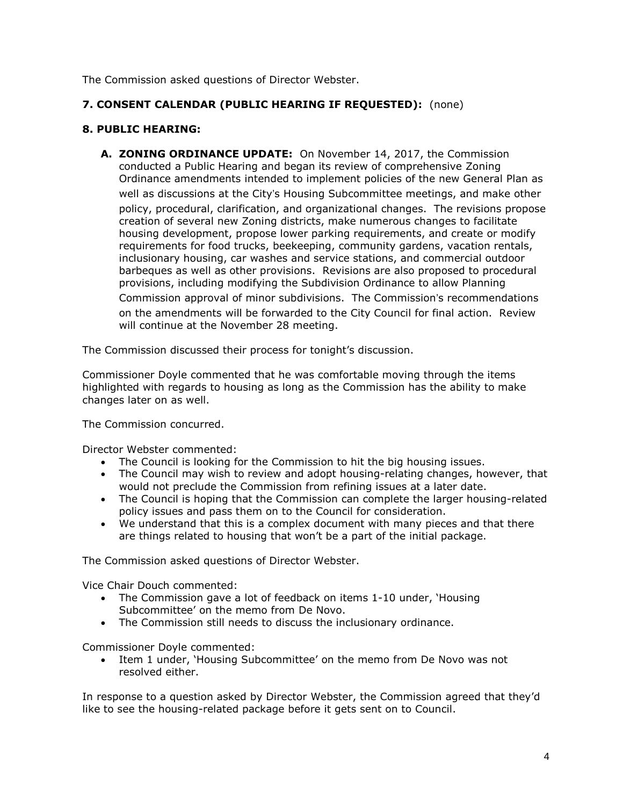The Commission asked questions of Director Webster.

# **7. CONSENT CALENDAR (PUBLIC HEARING IF REQUESTED):** (none)

## **8. PUBLIC HEARING:**

**A. ZONING ORDINANCE UPDATE:** On November 14, 2017, the Commission conducted a Public Hearing and began its review of comprehensive Zoning Ordinance amendments intended to implement policies of the new General Plan as well as discussions at the City's Housing Subcommittee meetings, and make other policy, procedural, clarification, and organizational changes. The revisions propose creation of several new Zoning districts, make numerous changes to facilitate housing development, propose lower parking requirements, and create or modify requirements for food trucks, beekeeping, community gardens, vacation rentals, inclusionary housing, car washes and service stations, and commercial outdoor barbeques as well as other provisions. Revisions are also proposed to procedural provisions, including modifying the Subdivision Ordinance to allow Planning Commission approval of minor subdivisions. The Commission's recommendations on the amendments will be forwarded to the City Council for final action. Review will continue at the November 28 meeting.

The Commission discussed their process for tonight's discussion.

Commissioner Doyle commented that he was comfortable moving through the items highlighted with regards to housing as long as the Commission has the ability to make changes later on as well.

The Commission concurred.

Director Webster commented:

- The Council is looking for the Commission to hit the big housing issues.
- The Council may wish to review and adopt housing-relating changes, however, that would not preclude the Commission from refining issues at a later date.
- The Council is hoping that the Commission can complete the larger housing-related policy issues and pass them on to the Council for consideration.
- We understand that this is a complex document with many pieces and that there are things related to housing that won't be a part of the initial package.

The Commission asked questions of Director Webster.

Vice Chair Douch commented:

- The Commission gave a lot of feedback on items 1-10 under, 'Housing Subcommittee' on the memo from De Novo.
- The Commission still needs to discuss the inclusionary ordinance.

Commissioner Doyle commented:

 Item 1 under, 'Housing Subcommittee' on the memo from De Novo was not resolved either.

In response to a question asked by Director Webster, the Commission agreed that they'd like to see the housing-related package before it gets sent on to Council.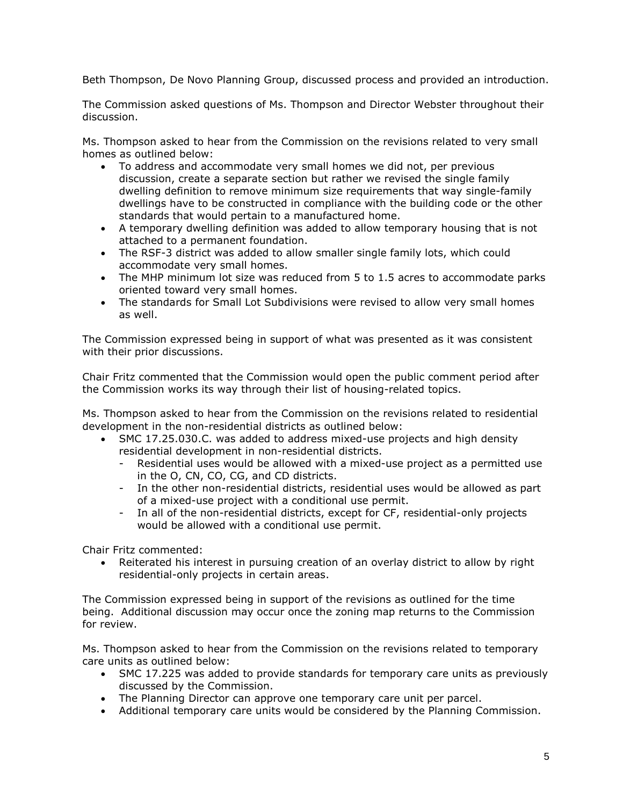Beth Thompson, De Novo Planning Group, discussed process and provided an introduction.

The Commission asked questions of Ms. Thompson and Director Webster throughout their discussion.

Ms. Thompson asked to hear from the Commission on the revisions related to very small homes as outlined below:

- To address and accommodate very small homes we did not, per previous discussion, create a separate section but rather we revised the single family dwelling definition to remove minimum size requirements that way single-family dwellings have to be constructed in compliance with the building code or the other standards that would pertain to a manufactured home.
- A temporary dwelling definition was added to allow temporary housing that is not attached to a permanent foundation.
- The RSF-3 district was added to allow smaller single family lots, which could accommodate very small homes.
- The MHP minimum lot size was reduced from 5 to 1.5 acres to accommodate parks oriented toward very small homes.
- The standards for Small Lot Subdivisions were revised to allow very small homes as well.

The Commission expressed being in support of what was presented as it was consistent with their prior discussions.

Chair Fritz commented that the Commission would open the public comment period after the Commission works its way through their list of housing-related topics.

Ms. Thompson asked to hear from the Commission on the revisions related to residential development in the non-residential districts as outlined below:

- SMC 17.25.030.C. was added to address mixed-use projects and high density residential development in non-residential districts.
	- Residential uses would be allowed with a mixed-use project as a permitted use in the O, CN, CO, CG, and CD districts.
	- In the other non-residential districts, residential uses would be allowed as part of a mixed-use project with a conditional use permit.
	- In all of the non-residential districts, except for CF, residential-only projects would be allowed with a conditional use permit.

Chair Fritz commented:

• Reiterated his interest in pursuing creation of an overlay district to allow by right residential-only projects in certain areas.

The Commission expressed being in support of the revisions as outlined for the time being. Additional discussion may occur once the zoning map returns to the Commission for review.

Ms. Thompson asked to hear from the Commission on the revisions related to temporary care units as outlined below:

- SMC 17.225 was added to provide standards for temporary care units as previously discussed by the Commission.
- The Planning Director can approve one temporary care unit per parcel.
- Additional temporary care units would be considered by the Planning Commission.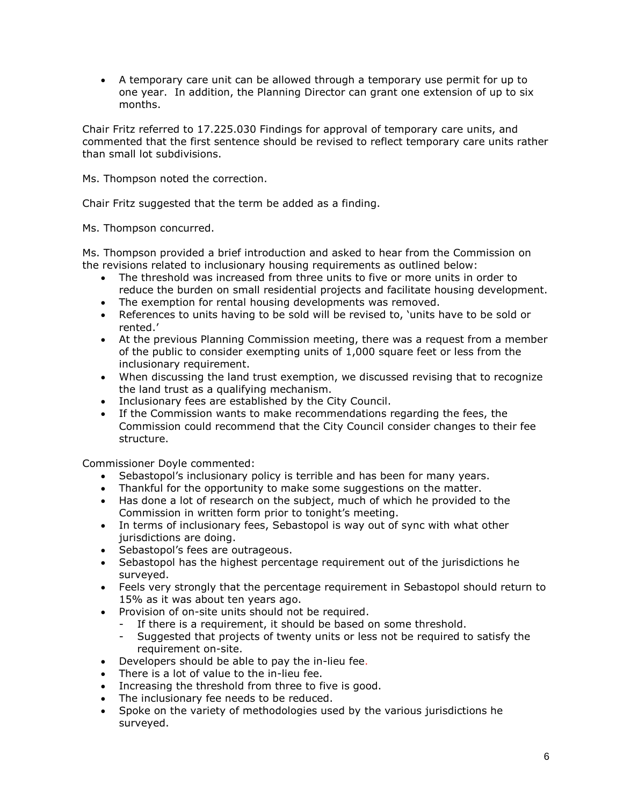A temporary care unit can be allowed through a temporary use permit for up to one year. In addition, the Planning Director can grant one extension of up to six months.

Chair Fritz referred to 17.225.030 Findings for approval of temporary care units, and commented that the first sentence should be revised to reflect temporary care units rather than small lot subdivisions.

Ms. Thompson noted the correction.

Chair Fritz suggested that the term be added as a finding.

Ms. Thompson concurred.

Ms. Thompson provided a brief introduction and asked to hear from the Commission on the revisions related to inclusionary housing requirements as outlined below:

- The threshold was increased from three units to five or more units in order to reduce the burden on small residential projects and facilitate housing development.
- The exemption for rental housing developments was removed.
- References to units having to be sold will be revised to, 'units have to be sold or rented.'
- At the previous Planning Commission meeting, there was a request from a member of the public to consider exempting units of 1,000 square feet or less from the inclusionary requirement.
- When discussing the land trust exemption, we discussed revising that to recognize the land trust as a qualifying mechanism.
- Inclusionary fees are established by the City Council.
- If the Commission wants to make recommendations regarding the fees, the Commission could recommend that the City Council consider changes to their fee structure.

Commissioner Doyle commented:

- Sebastopol's inclusionary policy is terrible and has been for many years.
- Thankful for the opportunity to make some suggestions on the matter.
- Has done a lot of research on the subject, much of which he provided to the Commission in written form prior to tonight's meeting.
- In terms of inclusionary fees, Sebastopol is way out of sync with what other jurisdictions are doing.
- Sebastopol's fees are outrageous.
- Sebastopol has the highest percentage requirement out of the jurisdictions he surveyed.
- Feels very strongly that the percentage requirement in Sebastopol should return to 15% as it was about ten years ago.
- Provision of on-site units should not be required.
	- If there is a requirement, it should be based on some threshold.
	- Suggested that projects of twenty units or less not be required to satisfy the requirement on-site.
- Developers should be able to pay the in-lieu fee.
- There is a lot of value to the in-lieu fee.
- Increasing the threshold from three to five is good.
- The inclusionary fee needs to be reduced.
- Spoke on the variety of methodologies used by the various jurisdictions he surveyed.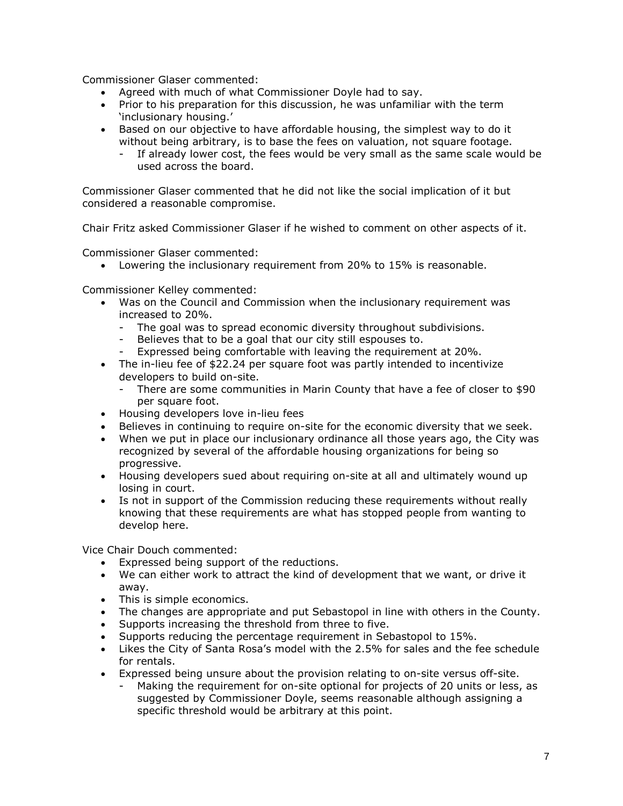Commissioner Glaser commented:

- Agreed with much of what Commissioner Doyle had to say.
- Prior to his preparation for this discussion, he was unfamiliar with the term 'inclusionary housing.'
- Based on our objective to have affordable housing, the simplest way to do it without being arbitrary, is to base the fees on valuation, not square footage.
	- If already lower cost, the fees would be very small as the same scale would be used across the board.

Commissioner Glaser commented that he did not like the social implication of it but considered a reasonable compromise.

Chair Fritz asked Commissioner Glaser if he wished to comment on other aspects of it.

Commissioner Glaser commented:

Lowering the inclusionary requirement from 20% to 15% is reasonable.

Commissioner Kelley commented:

- Was on the Council and Commission when the inclusionary requirement was increased to 20%.
	- The goal was to spread economic diversity throughout subdivisions.
	- Believes that to be a goal that our city still espouses to.
	- Expressed being comfortable with leaving the requirement at 20%.
- The in-lieu fee of \$22.24 per square foot was partly intended to incentivize developers to build on-site.
	- There are some communities in Marin County that have a fee of closer to \$90 per square foot.
- Housing developers love in-lieu fees
- Believes in continuing to require on-site for the economic diversity that we seek.
- When we put in place our inclusionary ordinance all those years ago, the City was recognized by several of the affordable housing organizations for being so progressive.
- Housing developers sued about requiring on-site at all and ultimately wound up losing in court.
- Is not in support of the Commission reducing these requirements without really knowing that these requirements are what has stopped people from wanting to develop here.

Vice Chair Douch commented:

- Expressed being support of the reductions.
- We can either work to attract the kind of development that we want, or drive it away.
- This is simple economics.
- The changes are appropriate and put Sebastopol in line with others in the County.
- Supports increasing the threshold from three to five.
- Supports reducing the percentage requirement in Sebastopol to 15%.
- Likes the City of Santa Rosa's model with the 2.5% for sales and the fee schedule for rentals.
- Expressed being unsure about the provision relating to on-site versus off-site.
	- Making the requirement for on-site optional for projects of 20 units or less, as suggested by Commissioner Doyle, seems reasonable although assigning a specific threshold would be arbitrary at this point.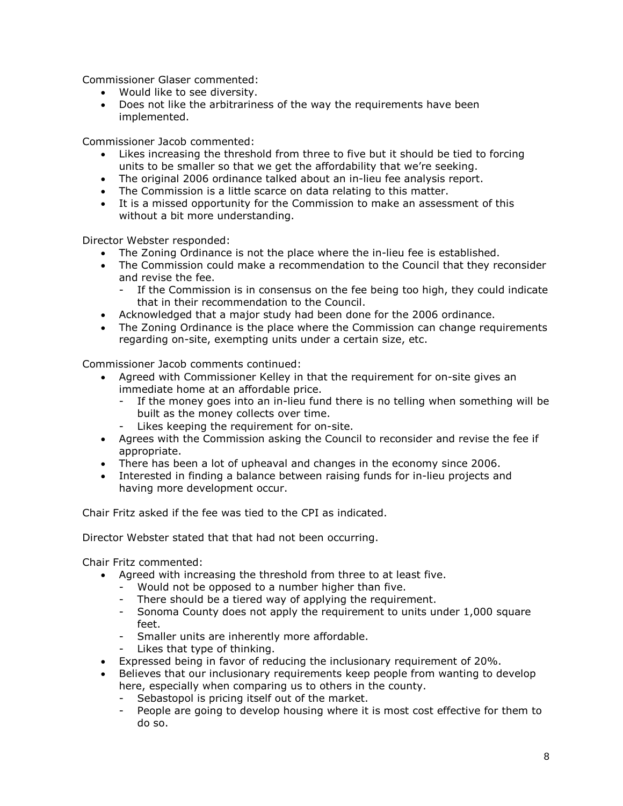Commissioner Glaser commented:

- Would like to see diversity.
- Does not like the arbitrariness of the way the requirements have been implemented.

Commissioner Jacob commented:

- Likes increasing the threshold from three to five but it should be tied to forcing units to be smaller so that we get the affordability that we're seeking.
- The original 2006 ordinance talked about an in-lieu fee analysis report.
- The Commission is a little scarce on data relating to this matter.
- It is a missed opportunity for the Commission to make an assessment of this without a bit more understanding.

Director Webster responded:

- The Zoning Ordinance is not the place where the in-lieu fee is established.
- The Commission could make a recommendation to the Council that they reconsider and revise the fee.
	- If the Commission is in consensus on the fee being too high, they could indicate that in their recommendation to the Council.
- Acknowledged that a major study had been done for the 2006 ordinance.
- The Zoning Ordinance is the place where the Commission can change requirements regarding on-site, exempting units under a certain size, etc.

Commissioner Jacob comments continued:

- Agreed with Commissioner Kelley in that the requirement for on-site gives an immediate home at an affordable price.
	- If the money goes into an in-lieu fund there is no telling when something will be built as the money collects over time.
	- Likes keeping the requirement for on-site.
- Agrees with the Commission asking the Council to reconsider and revise the fee if appropriate.
- There has been a lot of upheaval and changes in the economy since 2006.
- Interested in finding a balance between raising funds for in-lieu projects and having more development occur.

Chair Fritz asked if the fee was tied to the CPI as indicated.

Director Webster stated that that had not been occurring.

Chair Fritz commented:

- Agreed with increasing the threshold from three to at least five.
	- Would not be opposed to a number higher than five.
	- There should be a tiered way of applying the requirement.
	- Sonoma County does not apply the requirement to units under 1,000 square feet.
	- Smaller units are inherently more affordable.
	- Likes that type of thinking.
- Expressed being in favor of reducing the inclusionary requirement of 20%.
- Believes that our inclusionary requirements keep people from wanting to develop here, especially when comparing us to others in the county.
	- Sebastopol is pricing itself out of the market.
	- People are going to develop housing where it is most cost effective for them to do so.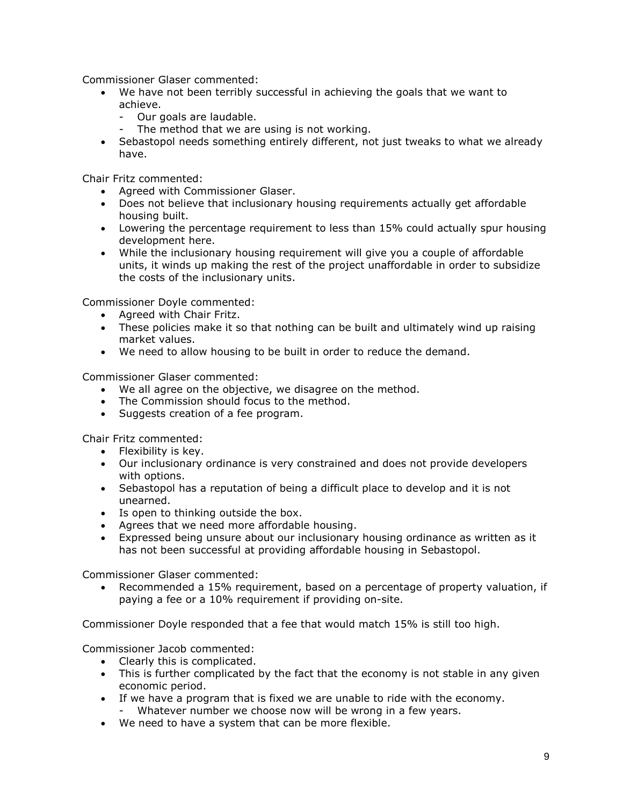Commissioner Glaser commented:

- We have not been terribly successful in achieving the goals that we want to achieve.
	- Our goals are laudable.
	- The method that we are using is not working.
- Sebastopol needs something entirely different, not just tweaks to what we already have.

Chair Fritz commented:

- Agreed with Commissioner Glaser.
- Does not believe that inclusionary housing requirements actually get affordable housing built.
- Lowering the percentage requirement to less than 15% could actually spur housing development here.
- While the inclusionary housing requirement will give you a couple of affordable units, it winds up making the rest of the project unaffordable in order to subsidize the costs of the inclusionary units.

Commissioner Doyle commented:

- Agreed with Chair Fritz.
- These policies make it so that nothing can be built and ultimately wind up raising market values.
- We need to allow housing to be built in order to reduce the demand.

Commissioner Glaser commented:

- We all agree on the objective, we disagree on the method.
- The Commission should focus to the method.
- Suggests creation of a fee program.

Chair Fritz commented:

- Flexibility is key.
- Our inclusionary ordinance is very constrained and does not provide developers with options.
- Sebastopol has a reputation of being a difficult place to develop and it is not unearned.
- Is open to thinking outside the box.
- Agrees that we need more affordable housing.
- Expressed being unsure about our inclusionary housing ordinance as written as it has not been successful at providing affordable housing in Sebastopol.

Commissioner Glaser commented:

 Recommended a 15% requirement, based on a percentage of property valuation, if paying a fee or a 10% requirement if providing on-site.

Commissioner Doyle responded that a fee that would match 15% is still too high.

Commissioner Jacob commented:

- Clearly this is complicated.
- This is further complicated by the fact that the economy is not stable in any given economic period.
- If we have a program that is fixed we are unable to ride with the economy.
	- Whatever number we choose now will be wrong in a few years.
- We need to have a system that can be more flexible.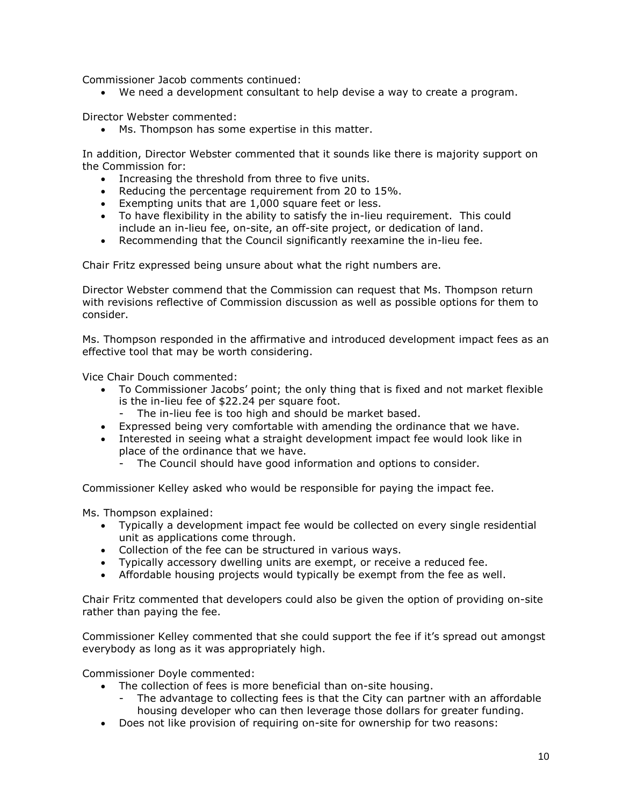Commissioner Jacob comments continued:

We need a development consultant to help devise a way to create a program.

Director Webster commented:

Ms. Thompson has some expertise in this matter.

In addition, Director Webster commented that it sounds like there is majority support on the Commission for:

- Increasing the threshold from three to five units.
- Reducing the percentage requirement from 20 to 15%.
- Exempting units that are 1,000 square feet or less.
- To have flexibility in the ability to satisfy the in-lieu requirement. This could include an in-lieu fee, on-site, an off-site project, or dedication of land.
- Recommending that the Council significantly reexamine the in-lieu fee.

Chair Fritz expressed being unsure about what the right numbers are.

Director Webster commend that the Commission can request that Ms. Thompson return with revisions reflective of Commission discussion as well as possible options for them to consider.

Ms. Thompson responded in the affirmative and introduced development impact fees as an effective tool that may be worth considering.

Vice Chair Douch commented:

- To Commissioner Jacobs' point; the only thing that is fixed and not market flexible is the in-lieu fee of \$22.24 per square foot.
	- The in-lieu fee is too high and should be market based.
- Expressed being very comfortable with amending the ordinance that we have.
- Interested in seeing what a straight development impact fee would look like in place of the ordinance that we have.
	- The Council should have good information and options to consider.

Commissioner Kelley asked who would be responsible for paying the impact fee.

Ms. Thompson explained:

- Typically a development impact fee would be collected on every single residential unit as applications come through.
- Collection of the fee can be structured in various ways.
- Typically accessory dwelling units are exempt, or receive a reduced fee.
- Affordable housing projects would typically be exempt from the fee as well.

Chair Fritz commented that developers could also be given the option of providing on-site rather than paying the fee.

Commissioner Kelley commented that she could support the fee if it's spread out amongst everybody as long as it was appropriately high.

Commissioner Doyle commented:

- The collection of fees is more beneficial than on-site housing.
	- The advantage to collecting fees is that the City can partner with an affordable housing developer who can then leverage those dollars for greater funding.
- Does not like provision of requiring on-site for ownership for two reasons: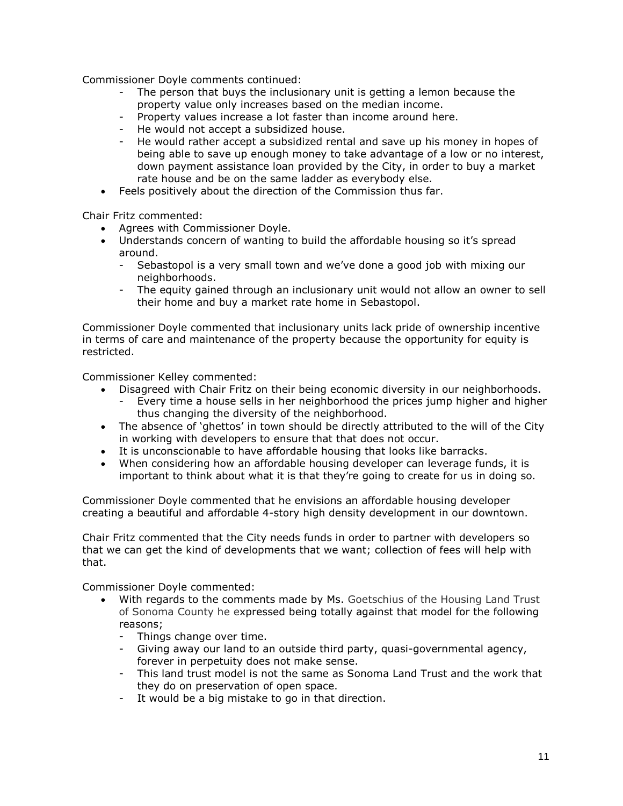Commissioner Doyle comments continued:

- The person that buys the inclusionary unit is getting a lemon because the property value only increases based on the median income.
- Property values increase a lot faster than income around here.
- He would not accept a subsidized house.
- He would rather accept a subsidized rental and save up his money in hopes of being able to save up enough money to take advantage of a low or no interest, down payment assistance loan provided by the City, in order to buy a market rate house and be on the same ladder as everybody else.
- Feels positively about the direction of the Commission thus far.

Chair Fritz commented:

- Agrees with Commissioner Doyle.
- Understands concern of wanting to build the affordable housing so it's spread around.
	- Sebastopol is a very small town and we've done a good job with mixing our neighborhoods.
	- The equity gained through an inclusionary unit would not allow an owner to sell their home and buy a market rate home in Sebastopol.

Commissioner Doyle commented that inclusionary units lack pride of ownership incentive in terms of care and maintenance of the property because the opportunity for equity is restricted.

Commissioner Kelley commented:

- Disagreed with Chair Fritz on their being economic diversity in our neighborhoods.
	- Every time a house sells in her neighborhood the prices jump higher and higher thus changing the diversity of the neighborhood.
- The absence of 'ghettos' in town should be directly attributed to the will of the City in working with developers to ensure that that does not occur.
- It is unconscionable to have affordable housing that looks like barracks.
- When considering how an affordable housing developer can leverage funds, it is important to think about what it is that they're going to create for us in doing so.

Commissioner Doyle commented that he envisions an affordable housing developer creating a beautiful and affordable 4-story high density development in our downtown.

Chair Fritz commented that the City needs funds in order to partner with developers so that we can get the kind of developments that we want; collection of fees will help with that.

Commissioner Doyle commented:

- With regards to the comments made by Ms. Goetschius of the Housing Land Trust of Sonoma County he expressed being totally against that model for the following reasons;
	- Things change over time.
	- Giving away our land to an outside third party, quasi-governmental agency, forever in perpetuity does not make sense.
	- This land trust model is not the same as Sonoma Land Trust and the work that they do on preservation of open space.
	- It would be a big mistake to go in that direction.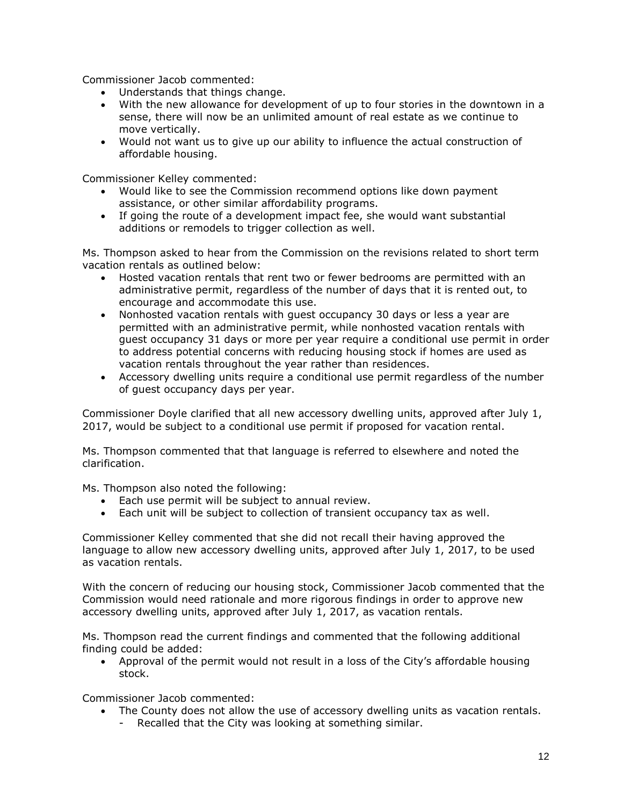Commissioner Jacob commented:

- Understands that things change.
- With the new allowance for development of up to four stories in the downtown in a sense, there will now be an unlimited amount of real estate as we continue to move vertically.
- Would not want us to give up our ability to influence the actual construction of affordable housing.

Commissioner Kelley commented:

- Would like to see the Commission recommend options like down payment assistance, or other similar affordability programs.
- If going the route of a development impact fee, she would want substantial additions or remodels to trigger collection as well.

Ms. Thompson asked to hear from the Commission on the revisions related to short term vacation rentals as outlined below:

- Hosted vacation rentals that rent two or fewer bedrooms are permitted with an administrative permit, regardless of the number of days that it is rented out, to encourage and accommodate this use.
- Nonhosted vacation rentals with quest occupancy 30 days or less a year are permitted with an administrative permit, while nonhosted vacation rentals with guest occupancy 31 days or more per year require a conditional use permit in order to address potential concerns with reducing housing stock if homes are used as vacation rentals throughout the year rather than residences.
- Accessory dwelling units require a conditional use permit regardless of the number of guest occupancy days per year.

Commissioner Doyle clarified that all new accessory dwelling units, approved after July 1, 2017, would be subject to a conditional use permit if proposed for vacation rental.

Ms. Thompson commented that that language is referred to elsewhere and noted the clarification.

Ms. Thompson also noted the following:

- Each use permit will be subject to annual review.
- Each unit will be subject to collection of transient occupancy tax as well.

Commissioner Kelley commented that she did not recall their having approved the language to allow new accessory dwelling units, approved after July 1, 2017, to be used as vacation rentals.

With the concern of reducing our housing stock, Commissioner Jacob commented that the Commission would need rationale and more rigorous findings in order to approve new accessory dwelling units, approved after July 1, 2017, as vacation rentals.

Ms. Thompson read the current findings and commented that the following additional finding could be added:

 Approval of the permit would not result in a loss of the City's affordable housing stock.

Commissioner Jacob commented:

- The County does not allow the use of accessory dwelling units as vacation rentals.
	- Recalled that the City was looking at something similar.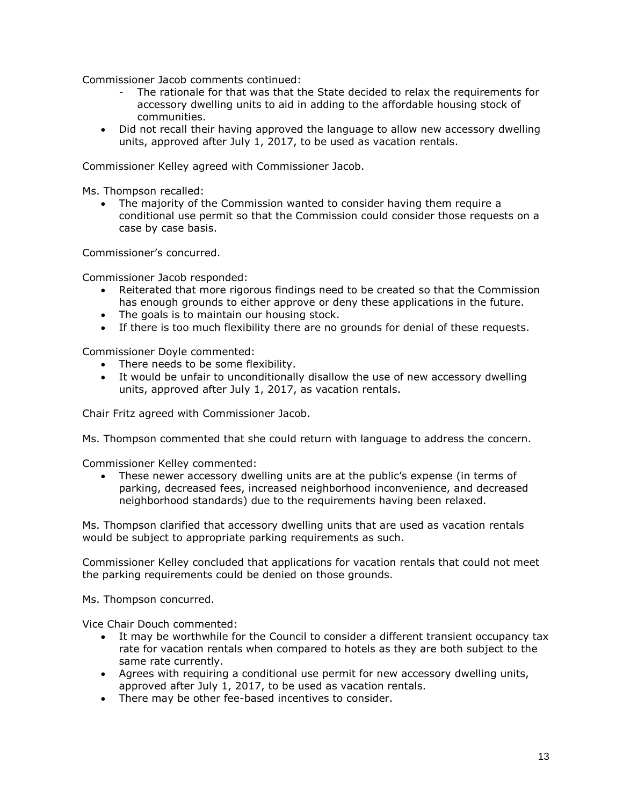Commissioner Jacob comments continued:

- The rationale for that was that the State decided to relax the requirements for accessory dwelling units to aid in adding to the affordable housing stock of communities.
- Did not recall their having approved the language to allow new accessory dwelling units, approved after July 1, 2017, to be used as vacation rentals.

Commissioner Kelley agreed with Commissioner Jacob.

Ms. Thompson recalled:

 The majority of the Commission wanted to consider having them require a conditional use permit so that the Commission could consider those requests on a case by case basis.

Commissioner's concurred.

Commissioner Jacob responded:

- Reiterated that more rigorous findings need to be created so that the Commission has enough grounds to either approve or deny these applications in the future.
- The goals is to maintain our housing stock.
- If there is too much flexibility there are no grounds for denial of these requests.

Commissioner Doyle commented:

- There needs to be some flexibility.
- It would be unfair to unconditionally disallow the use of new accessory dwelling units, approved after July 1, 2017, as vacation rentals.

Chair Fritz agreed with Commissioner Jacob.

Ms. Thompson commented that she could return with language to address the concern.

Commissioner Kelley commented:

 These newer accessory dwelling units are at the public's expense (in terms of parking, decreased fees, increased neighborhood inconvenience, and decreased neighborhood standards) due to the requirements having been relaxed.

Ms. Thompson clarified that accessory dwelling units that are used as vacation rentals would be subject to appropriate parking requirements as such.

Commissioner Kelley concluded that applications for vacation rentals that could not meet the parking requirements could be denied on those grounds.

Ms. Thompson concurred.

Vice Chair Douch commented:

- It may be worthwhile for the Council to consider a different transient occupancy tax rate for vacation rentals when compared to hotels as they are both subject to the same rate currently.
- Agrees with requiring a conditional use permit for new accessory dwelling units, approved after July 1, 2017, to be used as vacation rentals.
- There may be other fee-based incentives to consider.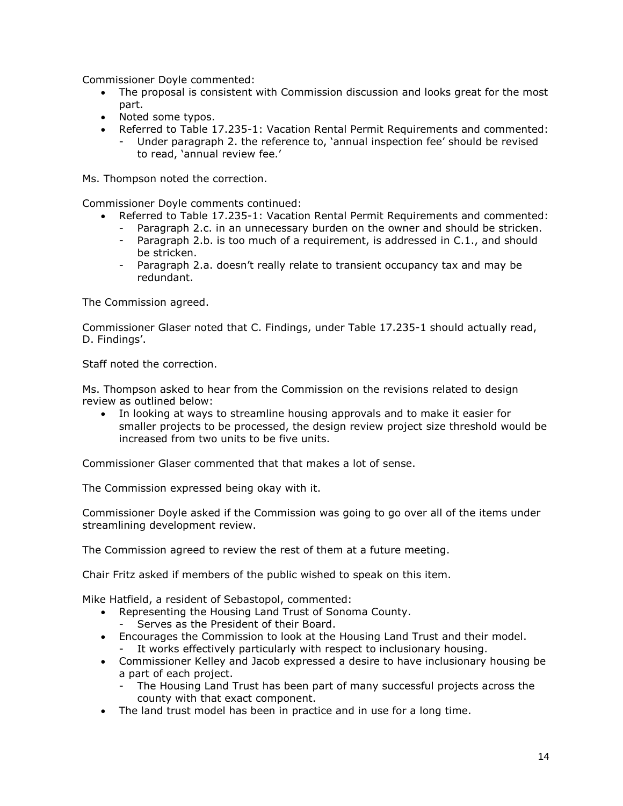Commissioner Doyle commented:

- The proposal is consistent with Commission discussion and looks great for the most part.
- Noted some typos.
- Referred to Table 17.235-1: Vacation Rental Permit Requirements and commented:
	- Under paragraph 2. the reference to, 'annual inspection fee' should be revised to read, 'annual review fee.'

Ms. Thompson noted the correction.

Commissioner Doyle comments continued:

- Referred to Table 17.235-1: Vacation Rental Permit Requirements and commented:
	- Paragraph 2.c. in an unnecessary burden on the owner and should be stricken.
	- Paragraph 2.b. is too much of a requirement, is addressed in C.1., and should be stricken.
	- Paragraph 2.a. doesn't really relate to transient occupancy tax and may be redundant.

The Commission agreed.

Commissioner Glaser noted that C. Findings, under Table 17.235-1 should actually read, D. Findings'.

Staff noted the correction.

Ms. Thompson asked to hear from the Commission on the revisions related to design review as outlined below:

 In looking at ways to streamline housing approvals and to make it easier for smaller projects to be processed, the design review project size threshold would be increased from two units to be five units.

Commissioner Glaser commented that that makes a lot of sense.

The Commission expressed being okay with it.

Commissioner Doyle asked if the Commission was going to go over all of the items under streamlining development review.

The Commission agreed to review the rest of them at a future meeting.

Chair Fritz asked if members of the public wished to speak on this item.

Mike Hatfield, a resident of Sebastopol, commented:

- Representing the Housing Land Trust of Sonoma County.
	- Serves as the President of their Board.
- Encourages the Commission to look at the Housing Land Trust and their model. It works effectively particularly with respect to inclusionary housing.
- Commissioner Kelley and Jacob expressed a desire to have inclusionary housing be a part of each project.
	- The Housing Land Trust has been part of many successful projects across the county with that exact component.
- The land trust model has been in practice and in use for a long time.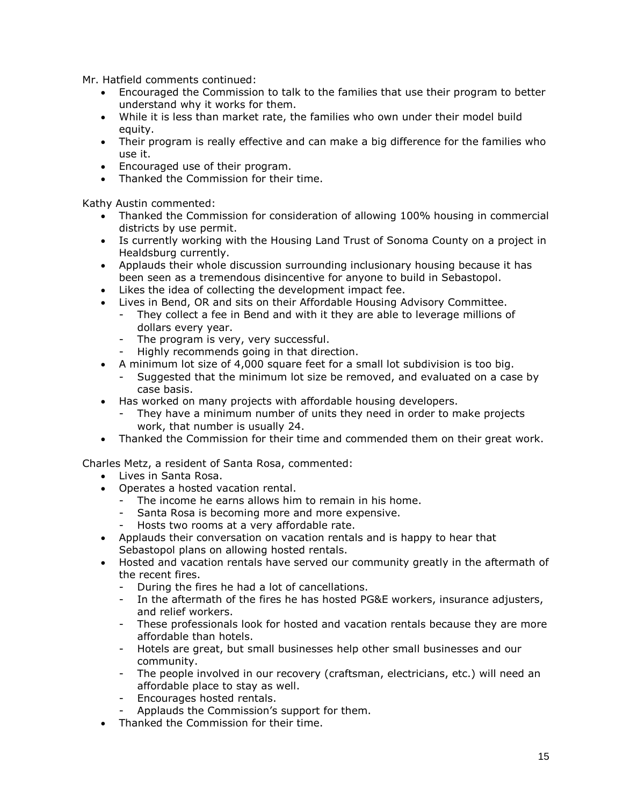Mr. Hatfield comments continued:

- Encouraged the Commission to talk to the families that use their program to better understand why it works for them.
- While it is less than market rate, the families who own under their model build equity.
- Their program is really effective and can make a big difference for the families who use it.
- Encouraged use of their program.
- Thanked the Commission for their time.

Kathy Austin commented:

- Thanked the Commission for consideration of allowing 100% housing in commercial districts by use permit.
- Is currently working with the Housing Land Trust of Sonoma County on a project in Healdsburg currently.
- Applauds their whole discussion surrounding inclusionary housing because it has been seen as a tremendous disincentive for anyone to build in Sebastopol.
- Likes the idea of collecting the development impact fee.
- Lives in Bend, OR and sits on their Affordable Housing Advisory Committee.
	- They collect a fee in Bend and with it they are able to leverage millions of dollars every year.
	- The program is very, very successful.
	- Highly recommends going in that direction.
- A minimum lot size of 4,000 square feet for a small lot subdivision is too big.
	- Suggested that the minimum lot size be removed, and evaluated on a case by case basis.
- Has worked on many projects with affordable housing developers.
	- They have a minimum number of units they need in order to make projects work, that number is usually 24.
- Thanked the Commission for their time and commended them on their great work.

Charles Metz, a resident of Santa Rosa, commented:

- Lives in Santa Rosa.
- Operates a hosted vacation rental.
	- The income he earns allows him to remain in his home.
	- Santa Rosa is becoming more and more expensive.
	- Hosts two rooms at a very affordable rate.
- Applauds their conversation on vacation rentals and is happy to hear that Sebastopol plans on allowing hosted rentals.
- Hosted and vacation rentals have served our community greatly in the aftermath of the recent fires.
	- During the fires he had a lot of cancellations.
	- In the aftermath of the fires he has hosted PG&E workers, insurance adjusters, and relief workers.
	- These professionals look for hosted and vacation rentals because they are more affordable than hotels.
	- Hotels are great, but small businesses help other small businesses and our community.
	- The people involved in our recovery (craftsman, electricians, etc.) will need an affordable place to stay as well.
	- Encourages hosted rentals.
	- Applauds the Commission's support for them.
- Thanked the Commission for their time.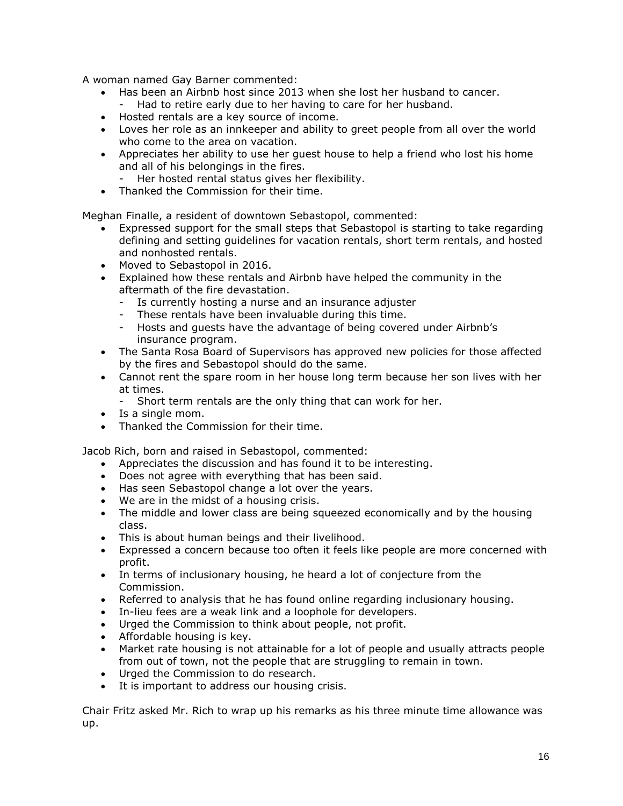A woman named Gay Barner commented:

- Has been an Airbnb host since 2013 when she lost her husband to cancer.
- Had to retire early due to her having to care for her husband.
- Hosted rentals are a key source of income.
- Loves her role as an innkeeper and ability to greet people from all over the world who come to the area on vacation.
- Appreciates her ability to use her guest house to help a friend who lost his home and all of his belongings in the fires.
	- Her hosted rental status gives her flexibility.
- Thanked the Commission for their time.

Meghan Finalle, a resident of downtown Sebastopol, commented:

- Expressed support for the small steps that Sebastopol is starting to take regarding defining and setting guidelines for vacation rentals, short term rentals, and hosted and nonhosted rentals.
- Moved to Sebastopol in 2016.
- Explained how these rentals and Airbnb have helped the community in the aftermath of the fire devastation.
	- Is currently hosting a nurse and an insurance adjuster
	- These rentals have been invaluable during this time.
	- Hosts and quests have the advantage of being covered under Airbnb's insurance program.
- The Santa Rosa Board of Supervisors has approved new policies for those affected by the fires and Sebastopol should do the same.
- Cannot rent the spare room in her house long term because her son lives with her at times.
	- Short term rentals are the only thing that can work for her.
- Is a single mom.
- Thanked the Commission for their time.

Jacob Rich, born and raised in Sebastopol, commented:

- Appreciates the discussion and has found it to be interesting.
- Does not agree with everything that has been said.
- Has seen Sebastopol change a lot over the years.
- We are in the midst of a housing crisis.
- The middle and lower class are being squeezed economically and by the housing class.
- This is about human beings and their livelihood.
- Expressed a concern because too often it feels like people are more concerned with profit.
- In terms of inclusionary housing, he heard a lot of conjecture from the Commission.
- Referred to analysis that he has found online regarding inclusionary housing.
- In-lieu fees are a weak link and a loophole for developers.
- Urged the Commission to think about people, not profit.
- Affordable housing is key.
- Market rate housing is not attainable for a lot of people and usually attracts people from out of town, not the people that are struggling to remain in town.
- Urged the Commission to do research.
- It is important to address our housing crisis.

Chair Fritz asked Mr. Rich to wrap up his remarks as his three minute time allowance was up.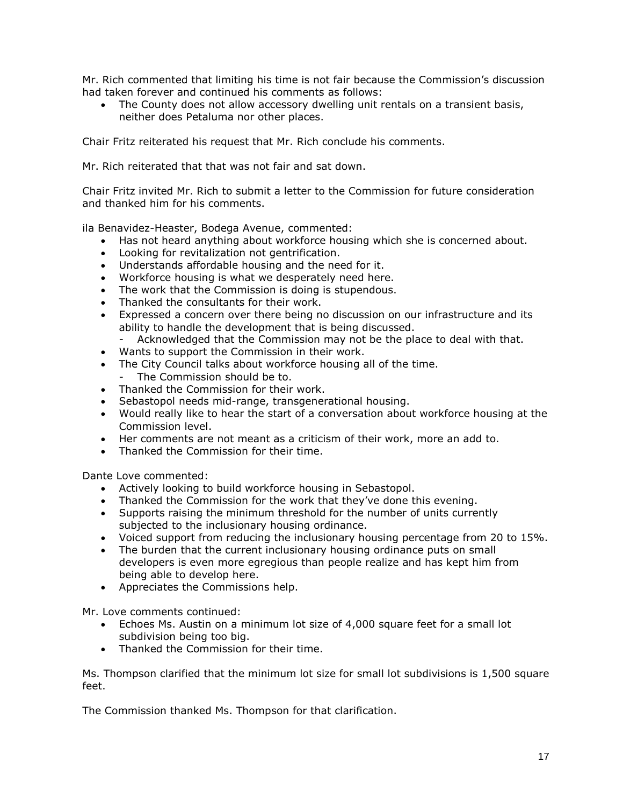Mr. Rich commented that limiting his time is not fair because the Commission's discussion had taken forever and continued his comments as follows:

 The County does not allow accessory dwelling unit rentals on a transient basis, neither does Petaluma nor other places.

Chair Fritz reiterated his request that Mr. Rich conclude his comments.

Mr. Rich reiterated that that was not fair and sat down.

Chair Fritz invited Mr. Rich to submit a letter to the Commission for future consideration and thanked him for his comments.

ila Benavidez-Heaster, Bodega Avenue, commented:

- Has not heard anything about workforce housing which she is concerned about.
- Looking for revitalization not gentrification.
- Understands affordable housing and the need for it.
- Workforce housing is what we desperately need here.
- The work that the Commission is doing is stupendous.
- Thanked the consultants for their work.
- Expressed a concern over there being no discussion on our infrastructure and its ability to handle the development that is being discussed.
	- Acknowledged that the Commission may not be the place to deal with that.
- Wants to support the Commission in their work.
- The City Council talks about workforce housing all of the time.
	- The Commission should be to.
- Thanked the Commission for their work.
- Sebastopol needs mid-range, transgenerational housing.
- Would really like to hear the start of a conversation about workforce housing at the Commission level.
- Her comments are not meant as a criticism of their work, more an add to.
- Thanked the Commission for their time.

Dante Love commented:

- Actively looking to build workforce housing in Sebastopol.
- Thanked the Commission for the work that they've done this evening.
- Supports raising the minimum threshold for the number of units currently subjected to the inclusionary housing ordinance.
- Voiced support from reducing the inclusionary housing percentage from 20 to 15%.
- The burden that the current inclusionary housing ordinance puts on small developers is even more egregious than people realize and has kept him from being able to develop here.
- Appreciates the Commissions help.

Mr. Love comments continued:

- Echoes Ms. Austin on a minimum lot size of 4,000 square feet for a small lot subdivision being too big.
- Thanked the Commission for their time.

Ms. Thompson clarified that the minimum lot size for small lot subdivisions is 1,500 square feet.

The Commission thanked Ms. Thompson for that clarification.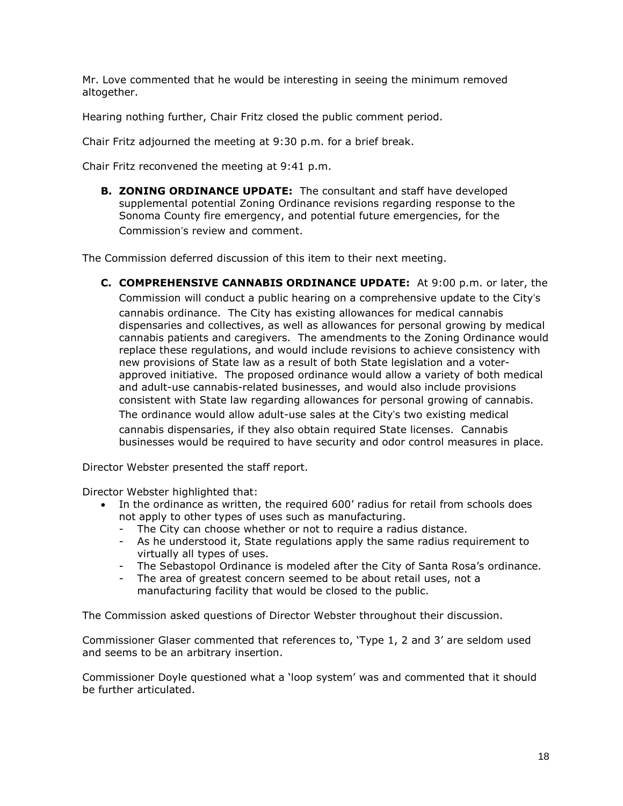Mr. Love commented that he would be interesting in seeing the minimum removed altogether.

Hearing nothing further, Chair Fritz closed the public comment period.

Chair Fritz adjourned the meeting at 9:30 p.m. for a brief break.

Chair Fritz reconvened the meeting at 9:41 p.m.

**B. ZONING ORDINANCE UPDATE:** The consultant and staff have developed supplemental potential Zoning Ordinance revisions regarding response to the Sonoma County fire emergency, and potential future emergencies, for the Commission's review and comment.

The Commission deferred discussion of this item to their next meeting.

**C. COMPREHENSIVE CANNABIS ORDINANCE UPDATE:** At 9:00 p.m. or later, the Commission will conduct a public hearing on a comprehensive update to the City's cannabis ordinance. The City has existing allowances for medical cannabis dispensaries and collectives, as well as allowances for personal growing by medical cannabis patients and caregivers. The amendments to the Zoning Ordinance would replace these regulations, and would include revisions to achieve consistency with new provisions of State law as a result of both State legislation and a voterapproved initiative. The proposed ordinance would allow a variety of both medical and adult-use cannabis-related businesses, and would also include provisions consistent with State law regarding allowances for personal growing of cannabis. The ordinance would allow adult-use sales at the City's two existing medical cannabis dispensaries, if they also obtain required State licenses. Cannabis businesses would be required to have security and odor control measures in place.

Director Webster presented the staff report.

Director Webster highlighted that:

- In the ordinance as written, the required 600' radius for retail from schools does not apply to other types of uses such as manufacturing.
	- The City can choose whether or not to require a radius distance.
	- As he understood it, State regulations apply the same radius requirement to virtually all types of uses.
	- The Sebastopol Ordinance is modeled after the City of Santa Rosa's ordinance.
	- The area of greatest concern seemed to be about retail uses, not a manufacturing facility that would be closed to the public.

The Commission asked questions of Director Webster throughout their discussion.

Commissioner Glaser commented that references to, 'Type 1, 2 and 3' are seldom used and seems to be an arbitrary insertion.

Commissioner Doyle questioned what a 'loop system' was and commented that it should be further articulated.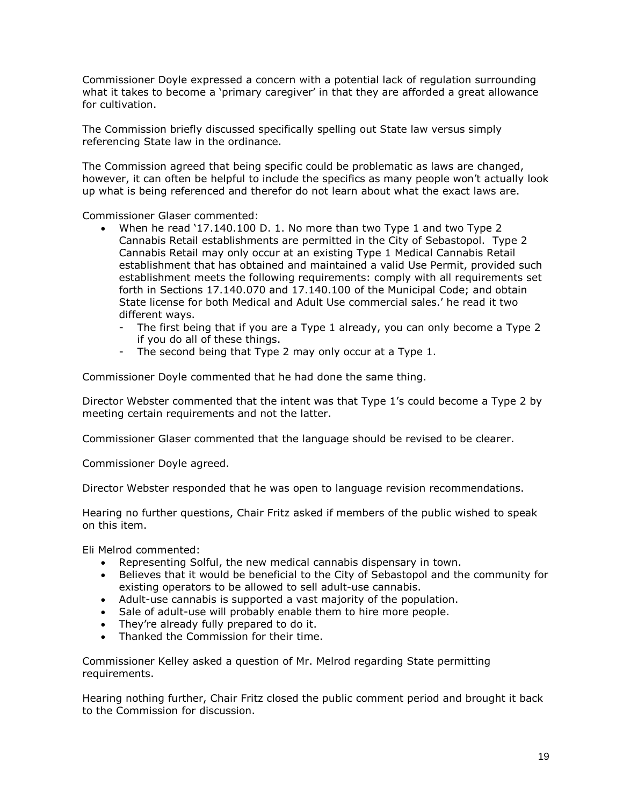Commissioner Doyle expressed a concern with a potential lack of regulation surrounding what it takes to become a 'primary caregiver' in that they are afforded a great allowance for cultivation.

The Commission briefly discussed specifically spelling out State law versus simply referencing State law in the ordinance.

The Commission agreed that being specific could be problematic as laws are changed, however, it can often be helpful to include the specifics as many people won't actually look up what is being referenced and therefor do not learn about what the exact laws are.

Commissioner Glaser commented:

- When he read '17.140.100 D. 1. No more than two Type 1 and two Type 2 Cannabis Retail establishments are permitted in the City of Sebastopol. Type 2 Cannabis Retail may only occur at an existing Type 1 Medical Cannabis Retail establishment that has obtained and maintained a valid Use Permit, provided such establishment meets the following requirements: comply with all requirements set forth in Sections 17.140.070 and 17.140.100 of the Municipal Code; and obtain State license for both Medical and Adult Use commercial sales.' he read it two different ways.
	- The first being that if you are a Type 1 already, you can only become a Type 2 if you do all of these things.
	- The second being that Type 2 may only occur at a Type 1.

Commissioner Doyle commented that he had done the same thing.

Director Webster commented that the intent was that Type 1's could become a Type 2 by meeting certain requirements and not the latter.

Commissioner Glaser commented that the language should be revised to be clearer.

Commissioner Doyle agreed.

Director Webster responded that he was open to language revision recommendations.

Hearing no further questions, Chair Fritz asked if members of the public wished to speak on this item.

Eli Melrod commented:

- Representing Solful, the new medical cannabis dispensary in town.
- Believes that it would be beneficial to the City of Sebastopol and the community for existing operators to be allowed to sell adult-use cannabis.
- Adult-use cannabis is supported a vast majority of the population.
- Sale of adult-use will probably enable them to hire more people.
- They're already fully prepared to do it.
- Thanked the Commission for their time.

Commissioner Kelley asked a question of Mr. Melrod regarding State permitting requirements.

Hearing nothing further, Chair Fritz closed the public comment period and brought it back to the Commission for discussion.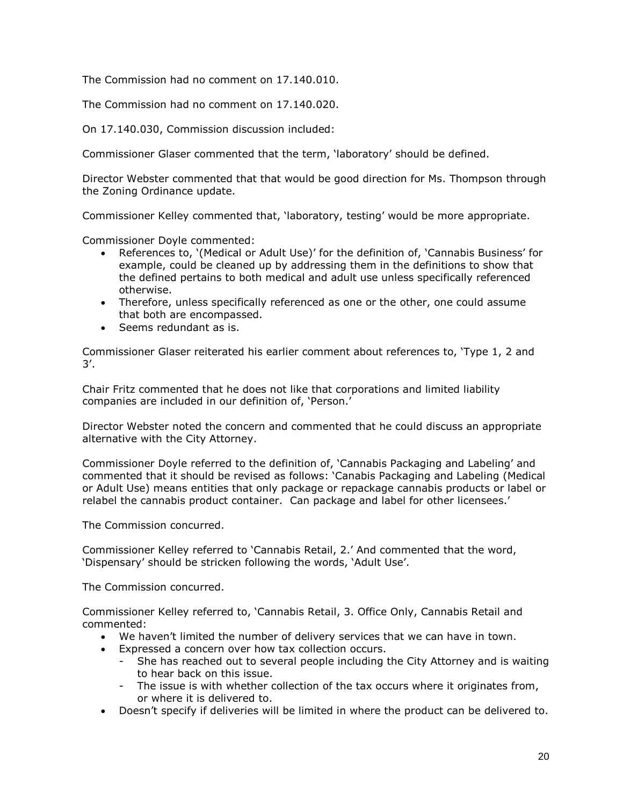The Commission had no comment on 17.140.010.

The Commission had no comment on 17.140.020.

On 17.140.030, Commission discussion included:

Commissioner Glaser commented that the term, 'laboratory' should be defined.

Director Webster commented that that would be good direction for Ms. Thompson through the Zoning Ordinance update.

Commissioner Kelley commented that, 'laboratory, testing' would be more appropriate.

Commissioner Doyle commented:

- References to, '(Medical or Adult Use)' for the definition of, 'Cannabis Business' for example, could be cleaned up by addressing them in the definitions to show that the defined pertains to both medical and adult use unless specifically referenced otherwise.
- Therefore, unless specifically referenced as one or the other, one could assume that both are encompassed.
- Seems redundant as is.

Commissioner Glaser reiterated his earlier comment about references to, 'Type 1, 2 and 3'.

Chair Fritz commented that he does not like that corporations and limited liability companies are included in our definition of, 'Person.'

Director Webster noted the concern and commented that he could discuss an appropriate alternative with the City Attorney.

Commissioner Doyle referred to the definition of, 'Cannabis Packaging and Labeling' and commented that it should be revised as follows: 'Canabis Packaging and Labeling (Medical or Adult Use) means entities that only package or repackage cannabis products or label or relabel the cannabis product container. Can package and label for other licensees.'

The Commission concurred.

Commissioner Kelley referred to 'Cannabis Retail, 2.' And commented that the word, 'Dispensary' should be stricken following the words, 'Adult Use'.

The Commission concurred.

Commissioner Kelley referred to, 'Cannabis Retail, 3. Office Only, Cannabis Retail and commented:

- We haven't limited the number of delivery services that we can have in town.
- Expressed a concern over how tax collection occurs.
	- She has reached out to several people including the City Attorney and is waiting to hear back on this issue.
	- The issue is with whether collection of the tax occurs where it originates from, or where it is delivered to.
- Doesn't specify if deliveries will be limited in where the product can be delivered to.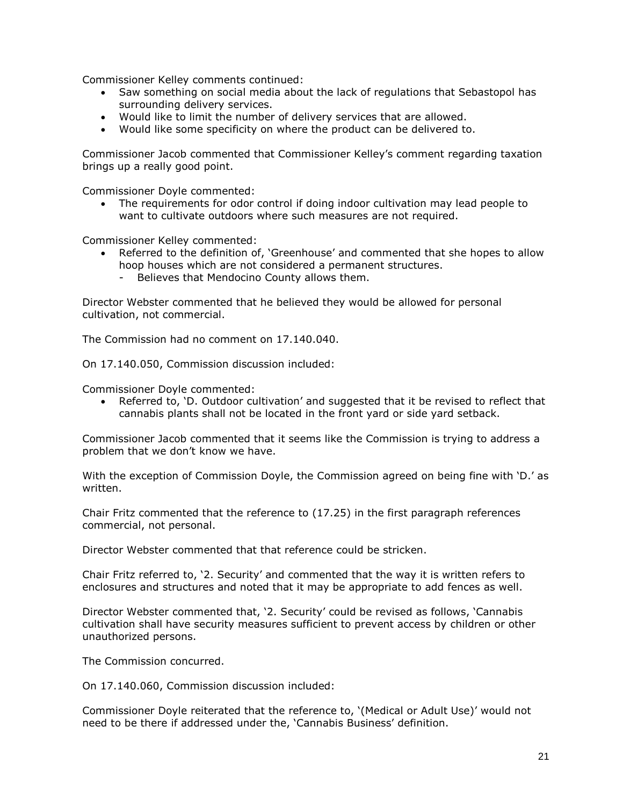Commissioner Kelley comments continued:

- Saw something on social media about the lack of regulations that Sebastopol has surrounding delivery services.
- Would like to limit the number of delivery services that are allowed.
- Would like some specificity on where the product can be delivered to.

Commissioner Jacob commented that Commissioner Kelley's comment regarding taxation brings up a really good point.

Commissioner Doyle commented:

 The requirements for odor control if doing indoor cultivation may lead people to want to cultivate outdoors where such measures are not required.

Commissioner Kelley commented:

- Referred to the definition of, 'Greenhouse' and commented that she hopes to allow hoop houses which are not considered a permanent structures.
	- Believes that Mendocino County allows them.

Director Webster commented that he believed they would be allowed for personal cultivation, not commercial.

The Commission had no comment on 17.140.040.

On 17.140.050, Commission discussion included:

Commissioner Doyle commented:

 Referred to, 'D. Outdoor cultivation' and suggested that it be revised to reflect that cannabis plants shall not be located in the front yard or side yard setback.

Commissioner Jacob commented that it seems like the Commission is trying to address a problem that we don't know we have.

With the exception of Commission Doyle, the Commission agreed on being fine with 'D.' as written.

Chair Fritz commented that the reference to (17.25) in the first paragraph references commercial, not personal.

Director Webster commented that that reference could be stricken.

Chair Fritz referred to, '2. Security' and commented that the way it is written refers to enclosures and structures and noted that it may be appropriate to add fences as well.

Director Webster commented that, '2. Security' could be revised as follows, 'Cannabis cultivation shall have security measures sufficient to prevent access by children or other unauthorized persons.

The Commission concurred.

On 17.140.060, Commission discussion included:

Commissioner Doyle reiterated that the reference to, '(Medical or Adult Use)' would not need to be there if addressed under the, 'Cannabis Business' definition.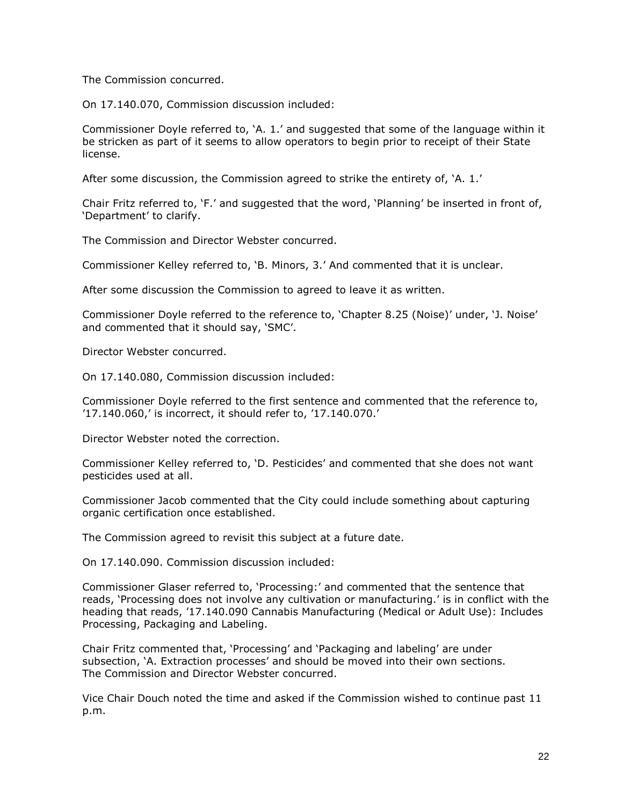The Commission concurred.

On 17.140.070, Commission discussion included:

Commissioner Doyle referred to, 'A. 1.' and suggested that some of the language within it be stricken as part of it seems to allow operators to begin prior to receipt of their State license.

After some discussion, the Commission agreed to strike the entirety of, 'A. 1.'

Chair Fritz referred to, 'F.' and suggested that the word, 'Planning' be inserted in front of, 'Department' to clarify.

The Commission and Director Webster concurred.

Commissioner Kelley referred to, 'B. Minors, 3.' And commented that it is unclear.

After some discussion the Commission to agreed to leave it as written.

Commissioner Doyle referred to the reference to, 'Chapter 8.25 (Noise)' under, 'J. Noise' and commented that it should say, 'SMC'.

Director Webster concurred.

On 17.140.080, Commission discussion included:

Commissioner Doyle referred to the first sentence and commented that the reference to, '17.140.060,' is incorrect, it should refer to, '17.140.070.'

Director Webster noted the correction.

Commissioner Kelley referred to, 'D. Pesticides' and commented that she does not want pesticides used at all.

Commissioner Jacob commented that the City could include something about capturing organic certification once established.

The Commission agreed to revisit this subject at a future date.

On 17.140.090. Commission discussion included:

Commissioner Glaser referred to, 'Processing:' and commented that the sentence that reads, 'Processing does not involve any cultivation or manufacturing.' is in conflict with the heading that reads, '17.140.090 Cannabis Manufacturing (Medical or Adult Use): Includes Processing, Packaging and Labeling.

Chair Fritz commented that, 'Processing' and 'Packaging and labeling' are under subsection, 'A. Extraction processes' and should be moved into their own sections. The Commission and Director Webster concurred.

Vice Chair Douch noted the time and asked if the Commission wished to continue past 11 p.m.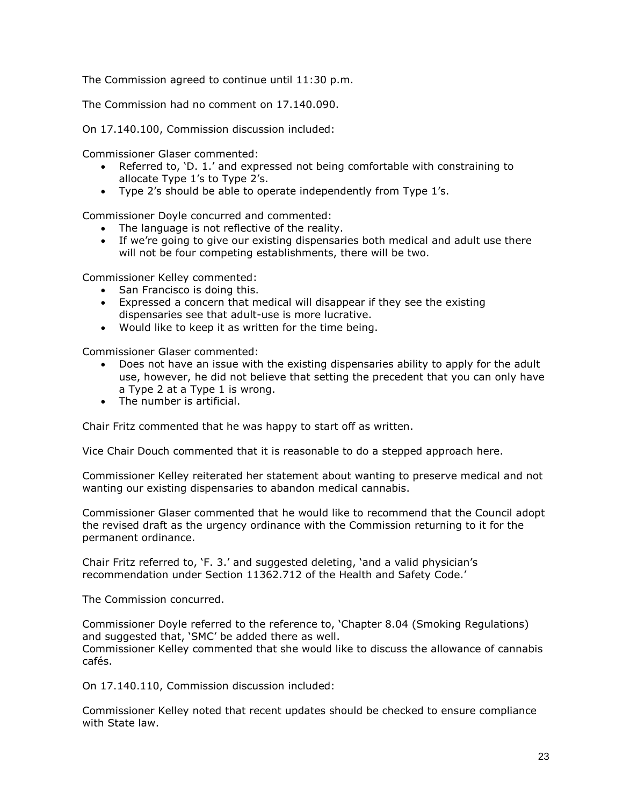The Commission agreed to continue until 11:30 p.m.

The Commission had no comment on 17.140.090.

On 17.140.100, Commission discussion included:

Commissioner Glaser commented:

- Referred to, 'D. 1.' and expressed not being comfortable with constraining to allocate Type 1's to Type 2's.
- Type 2's should be able to operate independently from Type 1's.

Commissioner Doyle concurred and commented:

- The language is not reflective of the reality.
- If we're going to give our existing dispensaries both medical and adult use there will not be four competing establishments, there will be two.

Commissioner Kelley commented:

- San Francisco is doing this.
- Expressed a concern that medical will disappear if they see the existing dispensaries see that adult-use is more lucrative.
- Would like to keep it as written for the time being.

Commissioner Glaser commented:

- Does not have an issue with the existing dispensaries ability to apply for the adult use, however, he did not believe that setting the precedent that you can only have a Type 2 at a Type 1 is wrong.
- The number is artificial.

Chair Fritz commented that he was happy to start off as written.

Vice Chair Douch commented that it is reasonable to do a stepped approach here.

Commissioner Kelley reiterated her statement about wanting to preserve medical and not wanting our existing dispensaries to abandon medical cannabis.

Commissioner Glaser commented that he would like to recommend that the Council adopt the revised draft as the urgency ordinance with the Commission returning to it for the permanent ordinance.

Chair Fritz referred to, 'F. 3.' and suggested deleting, 'and a valid physician's recommendation under Section 11362.712 of the Health and Safety Code.'

The Commission concurred.

Commissioner Doyle referred to the reference to, 'Chapter 8.04 (Smoking Regulations) and suggested that, 'SMC' be added there as well. Commissioner Kelley commented that she would like to discuss the allowance of cannabis cafés.

On 17.140.110, Commission discussion included:

Commissioner Kelley noted that recent updates should be checked to ensure compliance with State law.